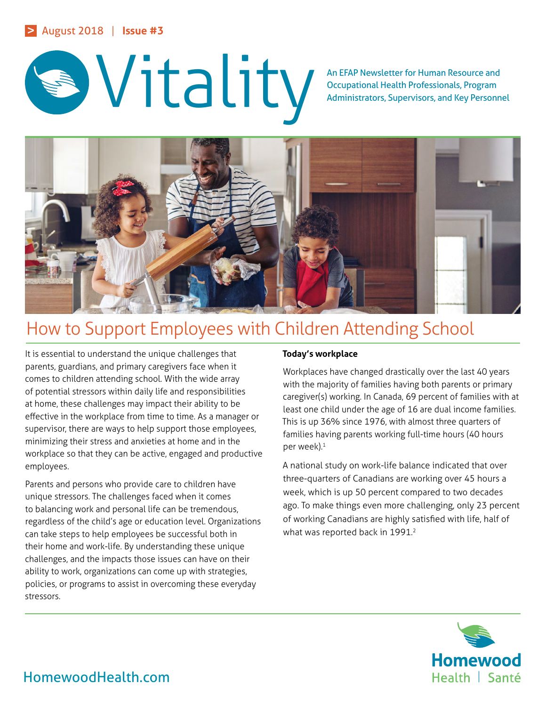# > August 2018 | **Issue #3**



Occupational Health Professionals, Program Administrators, Supervisors, and Key Personnel



# How to Support Employees with Children Attending School

It is essential to understand the unique challenges that parents, guardians, and primary caregivers face when it comes to children attending school. With the wide array of potential stressors within daily life and responsibilities at home, these challenges may impact their ability to be effective in the workplace from time to time. As a manager or supervisor, there are ways to help support those employees, minimizing their stress and anxieties at home and in the workplace so that they can be active, engaged and productive employees.

Parents and persons who provide care to children have unique stressors. The challenges faced when it comes to balancing work and personal life can be tremendous, regardless of the child's age or education level. Organizations can take steps to help employees be successful both in their home and work-life. By understanding these unique challenges, and the impacts those issues can have on their ability to work, organizations can come up with strategies, policies, or programs to assist in overcoming these everyday stressors.

## **Today's workplace**

Workplaces have changed drastically over the last 40 years with the majority of families having both parents or primary caregiver(s) working. In Canada, 69 percent of families with at least one child under the age of 16 are dual income families. This is up 36% since 1976, with almost three quarters of families having parents working full-time hours (40 hours per week).<sup>1</sup>

A national study on work-life balance indicated that over three-quarters of Canadians are working over 45 hours a week, which is up 50 percent compared to two decades ago. To make things even more challenging, only 23 percent of working Canadians are highly satisfied with life, half of what was reported back in 1991.<sup>2</sup>



# HomewoodHealth.com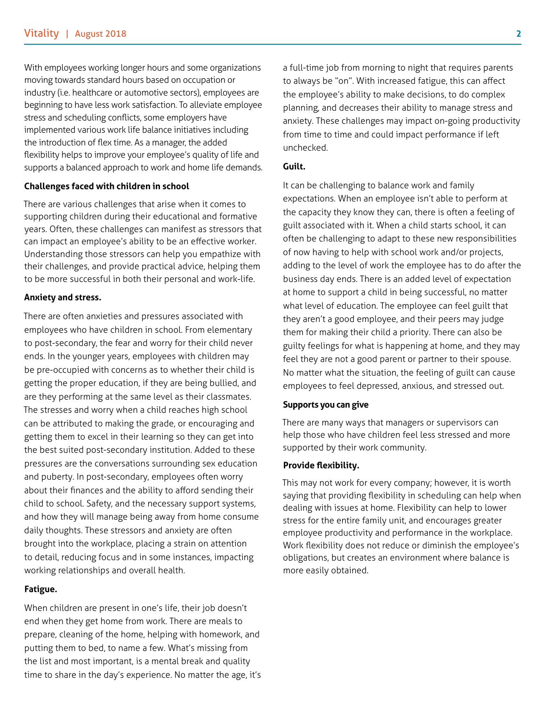With employees working longer hours and some organizations moving towards standard hours based on occupation or industry (i.e. healthcare or automotive sectors), employees are beginning to have less work satisfaction. To alleviate employee stress and scheduling conflicts, some employers have implemented various work life balance initiatives including the introduction of flex time. As a manager, the added flexibility helps to improve your employee's quality of life and supports a balanced approach to work and home life demands.

#### **Challenges faced with children in school**

There are various challenges that arise when it comes to supporting children during their educational and formative years. Often, these challenges can manifest as stressors that can impact an employee's ability to be an effective worker. Understanding those stressors can help you empathize with their challenges, and provide practical advice, helping them to be more successful in both their personal and work-life.

#### **Anxiety and stress.**

There are often anxieties and pressures associated with employees who have children in school. From elementary to post-secondary, the fear and worry for their child never ends. In the younger years, employees with children may be pre-occupied with concerns as to whether their child is getting the proper education, if they are being bullied, and are they performing at the same level as their classmates. The stresses and worry when a child reaches high school can be attributed to making the grade, or encouraging and getting them to excel in their learning so they can get into the best suited post-secondary institution. Added to these pressures are the conversations surrounding sex education and puberty. In post-secondary, employees often worry about their finances and the ability to afford sending their child to school. Safety, and the necessary support systems, and how they will manage being away from home consume daily thoughts. These stressors and anxiety are often brought into the workplace, placing a strain on attention to detail, reducing focus and in some instances, impacting working relationships and overall health.

#### **Fatigue.**

When children are present in one's life, their job doesn't end when they get home from work. There are meals to prepare, cleaning of the home, helping with homework, and putting them to bed, to name a few. What's missing from the list and most important, is a mental break and quality time to share in the day's experience. No matter the age, it's a full-time job from morning to night that requires parents to always be "on". With increased fatigue, this can affect the employee's ability to make decisions, to do complex planning, and decreases their ability to manage stress and anxiety. These challenges may impact on-going productivity from time to time and could impact performance if left unchecked.

#### **Guilt.**

It can be challenging to balance work and family expectations. When an employee isn't able to perform at the capacity they know they can, there is often a feeling of guilt associated with it. When a child starts school, it can often be challenging to adapt to these new responsibilities of now having to help with school work and/or projects, adding to the level of work the employee has to do after the business day ends. There is an added level of expectation at home to support a child in being successful, no matter what level of education. The employee can feel guilt that they aren't a good employee, and their peers may judge them for making their child a priority. There can also be guilty feelings for what is happening at home, and they may feel they are not a good parent or partner to their spouse. No matter what the situation, the feeling of guilt can cause employees to feel depressed, anxious, and stressed out.

#### **Supports you can give**

There are many ways that managers or supervisors can help those who have children feel less stressed and more supported by their work community.

#### **Provide flexibility.**

This may not work for every company; however, it is worth saying that providing flexibility in scheduling can help when dealing with issues at home. Flexibility can help to lower stress for the entire family unit, and encourages greater employee productivity and performance in the workplace. Work flexibility does not reduce or diminish the employee's obligations, but creates an environment where balance is more easily obtained.